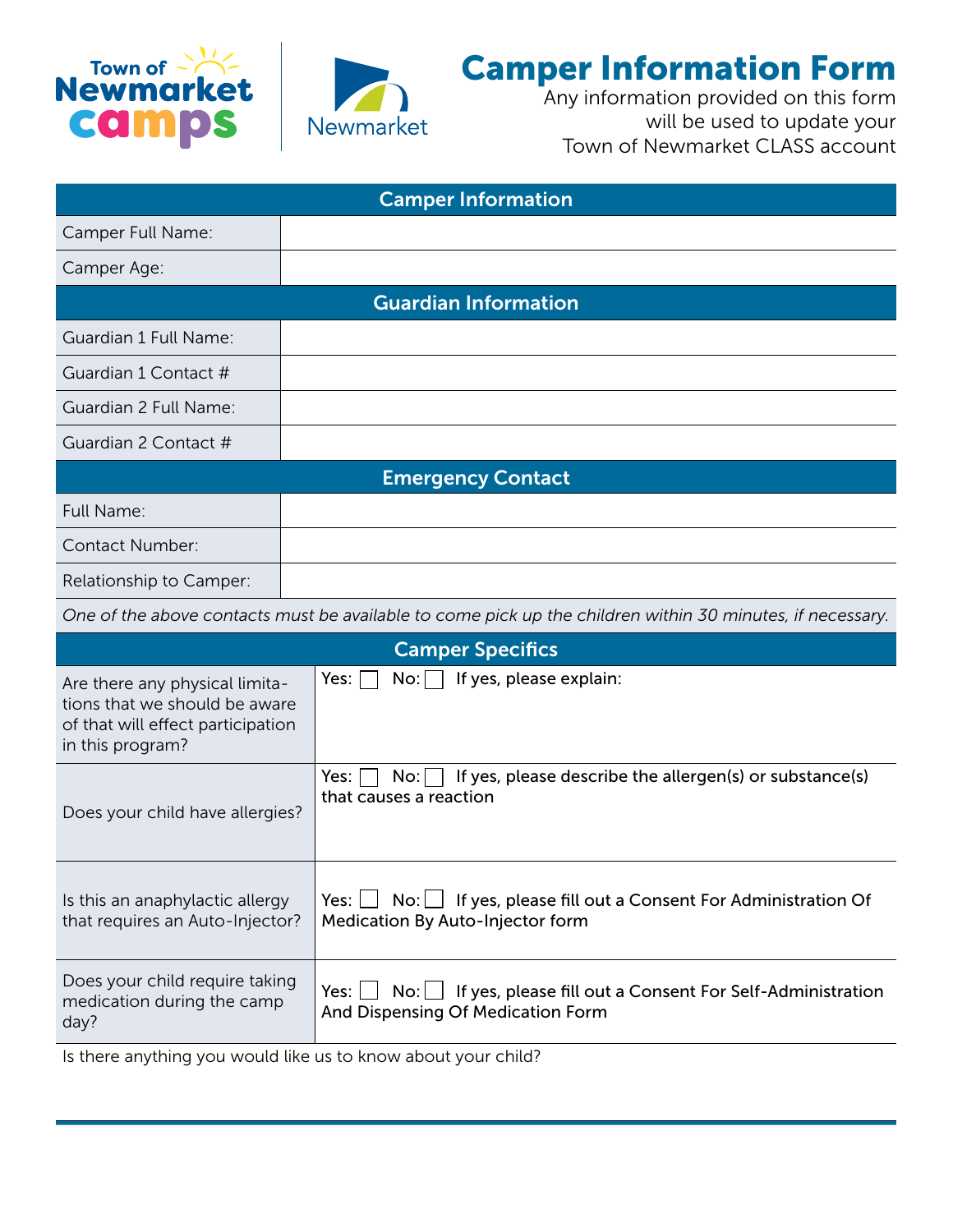



## Camper Information Form

Any information provided on this form will be used to update your Town of Newmarket CLASS account

| <b>Camper Information</b>                                                                                                |                                                                                                                         |  |  |  |
|--------------------------------------------------------------------------------------------------------------------------|-------------------------------------------------------------------------------------------------------------------------|--|--|--|
| Camper Full Name:                                                                                                        |                                                                                                                         |  |  |  |
| Camper Age:                                                                                                              |                                                                                                                         |  |  |  |
| <b>Guardian Information</b>                                                                                              |                                                                                                                         |  |  |  |
| Guardian 1 Full Name:                                                                                                    |                                                                                                                         |  |  |  |
| Guardian 1 Contact #                                                                                                     |                                                                                                                         |  |  |  |
| Guardian 2 Full Name:                                                                                                    |                                                                                                                         |  |  |  |
| Guardian 2 Contact #                                                                                                     |                                                                                                                         |  |  |  |
| <b>Emergency Contact</b>                                                                                                 |                                                                                                                         |  |  |  |
| Full Name:                                                                                                               |                                                                                                                         |  |  |  |
| <b>Contact Number:</b>                                                                                                   |                                                                                                                         |  |  |  |
| Relationship to Camper:                                                                                                  |                                                                                                                         |  |  |  |
|                                                                                                                          | One of the above contacts must be available to come pick up the children within 30 minutes, if necessary.               |  |  |  |
| <b>Camper Specifics</b>                                                                                                  |                                                                                                                         |  |  |  |
| Are there any physical limita-<br>tions that we should be aware<br>of that will effect participation<br>in this program? | If yes, please explain:<br>Yes:<br>No:                                                                                  |  |  |  |
| Does your child have allergies?                                                                                          | If yes, please describe the allergen(s) or substance(s)<br>Yes:<br>No:<br>that causes a reaction                        |  |  |  |
| Is this an anaphylactic allergy<br>that requires an Auto-Injector?                                                       | $No:$ If yes, please fill out a Consent For Administration Of<br>Yes: $\Box$<br><b>Medication By Auto-Injector form</b> |  |  |  |
| Does your child require taking<br>medication during the camp<br>day?                                                     | $No:$ If yes, please fill out a Consent For Self-Administration<br>$Yes: \Box$<br>And Dispensing Of Medication Form     |  |  |  |

Is there anything you would like us to know about your child?